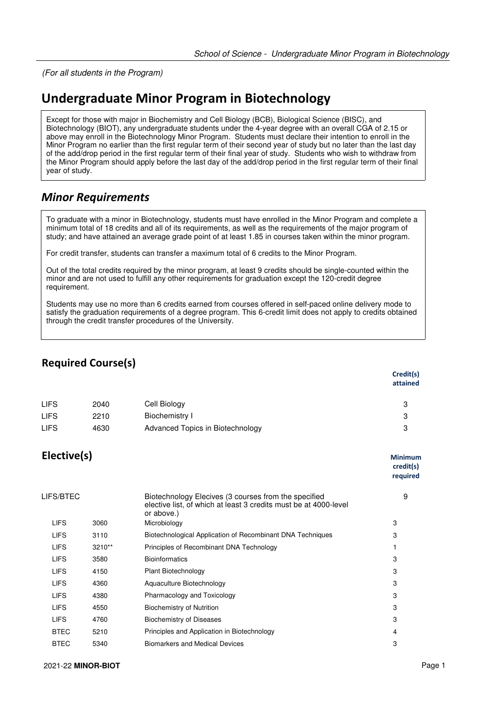(For all students in the Program)

## **Undergraduate Minor Program in Biotechnology**

Except for those with major in Biochemistry and Cell Biology (BCB), Biological Science (BISC), and Biotechnology (BIOT), any undergraduate students under the 4-year degree with an overall CGA of 2.15 or above may enroll in the Biotechnology Minor Program. Students must declare their intention to enroll in the Minor Program no earlier than the first regular term of their second year of study but no later than the last day of the add/drop period in the first regular term of their final year of study. Students who wish to withdraw from the Minor Program should apply before the last day of the add/drop period in the first regular term of their final year of study.

## *Minor Requirements*

To graduate with a minor in Biotechnology, students must have enrolled in the Minor Program and complete a minimum total of 18 credits and all of its requirements, as well as the requirements of the major program of study; and have attained an average grade point of at least 1.85 in courses taken within the minor program.

For credit transfer, students can transfer a maximum total of 6 credits to the Minor Program.

Out of the total credits required by the minor program, at least 9 credits should be single-counted within the minor and are not used to fulfill any other requirements for graduation except the 120-credit degree requirement.

Students may use no more than 6 credits earned from courses offered in self-paced online delivery mode to satisfy the graduation requirements of a degree program. This 6-credit limit does not apply to credits obtained through the credit transfer procedures of the University.

## **Required Course(s)**

|             |      |                                  | Credit(s)<br>attained |
|-------------|------|----------------------------------|-----------------------|
| <b>LIFS</b> | 2040 | Cell Biology                     | 3                     |
| <b>LIFS</b> | 2210 | Biochemistry I                   | 3                     |
| <b>LIFS</b> | 4630 | Advanced Topics in Biotechnology | 3                     |

## **Elective(s) Minimum**

|             |        |                                                                                                                                        | credit(s)<br>required |
|-------------|--------|----------------------------------------------------------------------------------------------------------------------------------------|-----------------------|
| LIFS/BTEC   |        | Biotechnology Elecives (3 courses from the specified<br>elective list, of which at least 3 credits must be at 4000-level<br>or above.) | 9                     |
| <b>LIFS</b> | 3060   | Microbiology                                                                                                                           | 3                     |
| <b>LIFS</b> | 3110   | Biotechnological Application of Recombinant DNA Techniques                                                                             | 3                     |
| <b>LIFS</b> | 3210** | Principles of Recombinant DNA Technology                                                                                               |                       |
| <b>LIFS</b> | 3580   | <b>Bioinformatics</b>                                                                                                                  | 3                     |
| <b>LIFS</b> | 4150   | Plant Biotechnology                                                                                                                    | 3                     |
| <b>LIFS</b> | 4360   | Aquaculture Biotechnology                                                                                                              | 3                     |
| <b>LIFS</b> | 4380   | Pharmacology and Toxicology                                                                                                            | 3                     |
| <b>LIFS</b> | 4550   | <b>Biochemistry of Nutrition</b>                                                                                                       | 3                     |
| <b>LIFS</b> | 4760   | <b>Biochemistry of Diseases</b>                                                                                                        | 3                     |
| <b>BTEC</b> | 5210   | Principles and Application in Biotechnology                                                                                            | 4                     |
| <b>BTEC</b> | 5340   | <b>Biomarkers and Medical Devices</b>                                                                                                  | 3                     |